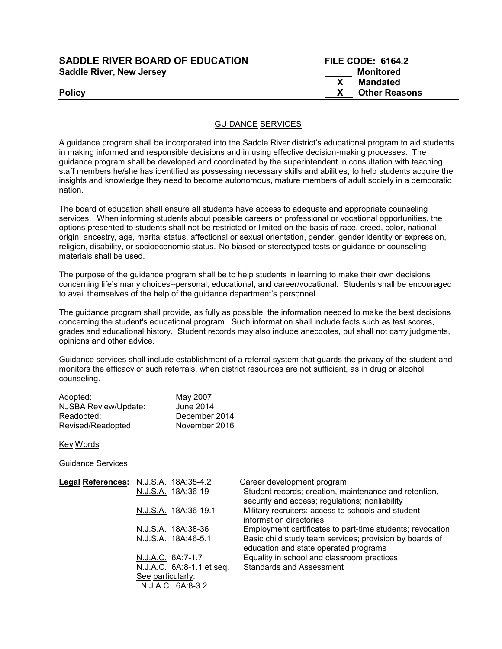| <b>SADDLE RIVER BOARD OF EDUCATION</b> | <b>FILE CODE: 6164.2</b> |
|----------------------------------------|--------------------------|
| <b>Saddle River, New Jersey</b>        | <b>Monitored</b>         |

| <b>SADDLE RIVER BOARD OF EDUCATION</b> | <b>FILE CODE: 6164.2</b> |
|----------------------------------------|--------------------------|
| <b>Saddle River, New Jersey</b>        | Monitored                |
|                                        | Mandated                 |
| <b>Policy</b>                          | <b>Other Reasons</b>     |

## GUIDANCE SERVICES

A guidance program shall be incorporated into the Saddle River district's educational program to aid students in making informed and responsible decisions and in using effective decision-making processes. The guidance program shall be developed and coordinated by the superintendent in consultation with teaching staff members he/she has identified as possessing necessary skills and abilities, to help students acquire the insights and knowledge they need to become autonomous, mature members of adult society in a democratic nation.

The board of education shall ensure all students have access to adequate and appropriate counseling services. When informing students about possible careers or professional or vocational opportunities, the options presented to students shall not be restricted or limited on the basis of race, creed, color, national origin, ancestry, age, marital status, affectional or sexual orientation, gender, gender identity or expression, religion, disability, or socioeconomic status. No biased or stereotyped tests or guidance or counseling materials shall be used.

The purpose of the guidance program shall be to help students in learning to make their own decisions concerning life's many choices--personal, educational, and career/vocational. Students shall be encouraged to avail themselves of the help of the guidance department's personnel.

The guidance program shall provide, as fully as possible, the information needed to make the best decisions concerning the student's educational program. Such information shall include facts such as test scores, grades and educational history. Student records may also include anecdotes, but shall not carry judgments, opinions and other advice.

Guidance services shall include establishment of a referral system that guards the privacy of the student and monitors the efficacy of such referrals, when district resources are not sufficient, as in drug or alcohol counseling.

| Adopted:             | May 2007      |
|----------------------|---------------|
| NJSBA Review/Update: | June 2014     |
| Readopted:           | December 2014 |
| Revised/Readopted:   | November 2016 |

Key Words

Guidance Services

| Legal References: N.J.S.A. 18A:35-4.2 | Career development program                                                                              |
|---------------------------------------|---------------------------------------------------------------------------------------------------------|
| N.J.S.A. 18A:36-19                    | Student records; creation, maintenance and retention,<br>security and access; regulations; nonliability |
| N.J.S.A. 18A:36-19.1                  | Military recruiters; access to schools and student<br>information directories                           |
| N.J.S.A. 18A:38-36                    | Employment certificates to part-time students; revocation                                               |
| N.J.S.A. 18A:46-5.1                   | Basic child study team services; provision by boards of<br>education and state operated programs        |
| N.J.A.C. 6A:7-1.7                     | Equality in school and classroom practices                                                              |
| N.J.A.C. 6A:8-1.1 et seq.             | <b>Standards and Assessment</b>                                                                         |
| See particularly:                     |                                                                                                         |
| N.J.A.C. 6A:8-3.2                     |                                                                                                         |